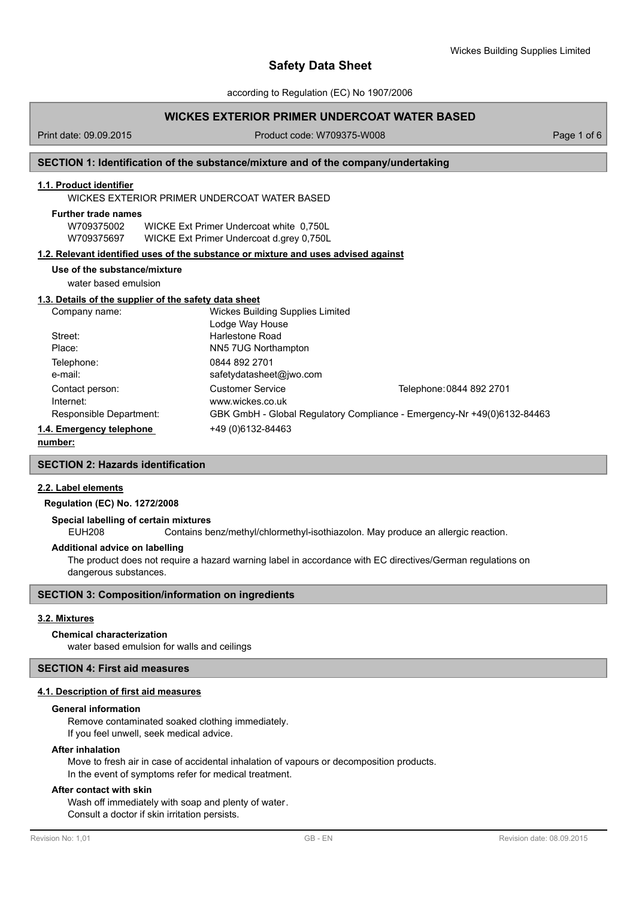according to Regulation (EC) No 1907/2006

# **WICKES EXTERIOR PRIMER UNDERCOAT WATER BASED**

Print date: 09.09.2015 Product code: W709375-W008 Page 1 of 6

# **SECTION 1: Identification of the substance/mixture and of the company/undertaking**

# **1.1. Product identifier**

WICKES EXTERIOR PRIMER UNDERCOAT WATER BASED

| <b>Further trade names</b> |                                          |  |
|----------------------------|------------------------------------------|--|
| W709375002                 | WICKE Ext Primer Undercoat white 0.750L  |  |
| W709375697                 | WICKE Ext Primer Undercoat d.grey 0,750L |  |

## **1.2. Relevant identified uses of the substance or mixture and uses advised against**

## **Use of the substance/mixture**

water based emulsion

# **1.3. Details of the supplier of the safety data sheet**

| Company name:            | <b>Wickes Building Supplies Limited</b> |                                                                         |  |  |
|--------------------------|-----------------------------------------|-------------------------------------------------------------------------|--|--|
|                          | Lodge Way House                         |                                                                         |  |  |
| Street:                  | Harlestone Road                         |                                                                         |  |  |
| Place:                   | NN5 7UG Northampton                     |                                                                         |  |  |
| Telephone:               | 0844 892 2701                           |                                                                         |  |  |
| e-mail:                  | safetydatasheet@jwo.com                 |                                                                         |  |  |
| Contact person:          | <b>Customer Service</b>                 | Telephone: 0844 892 2701                                                |  |  |
| Internet:                | www.wickes.co.uk                        |                                                                         |  |  |
| Responsible Department:  |                                         | GBK GmbH - Global Regulatory Compliance - Emergency-Nr +49(0)6132-84463 |  |  |
| 1.4. Emergency telephone | +49 (0) 6132-84463                      |                                                                         |  |  |
|                          |                                         |                                                                         |  |  |

## **number:**

# **SECTION 2: Hazards identification**

# **2.2. Label elements**

# **Regulation (EC) No. 1272/2008**

## **Special labelling of certain mixtures**

EUH208 Contains benz/methyl/chlormethyl-isothiazolon. May produce an allergic reaction.

## **Additional advice on labelling**

The product does not require a hazard warning label in accordance with EC directives/German regulations on dangerous substances.

# **SECTION 3: Composition/information on ingredients**

## **3.2. Mixtures**

## **Chemical characterization**

water based emulsion for walls and ceilings

# **SECTION 4: First aid measures**

## **4.1. Description of first aid measures**

## **General information**

Remove contaminated soaked clothing immediately. If you feel unwell, seek medical advice.

## **After inhalation**

Move to fresh air in case of accidental inhalation of vapours or decomposition products. In the event of symptoms refer for medical treatment.

# **After contact with skin**

Wash off immediately with soap and plenty of water. Consult a doctor if skin irritation persists.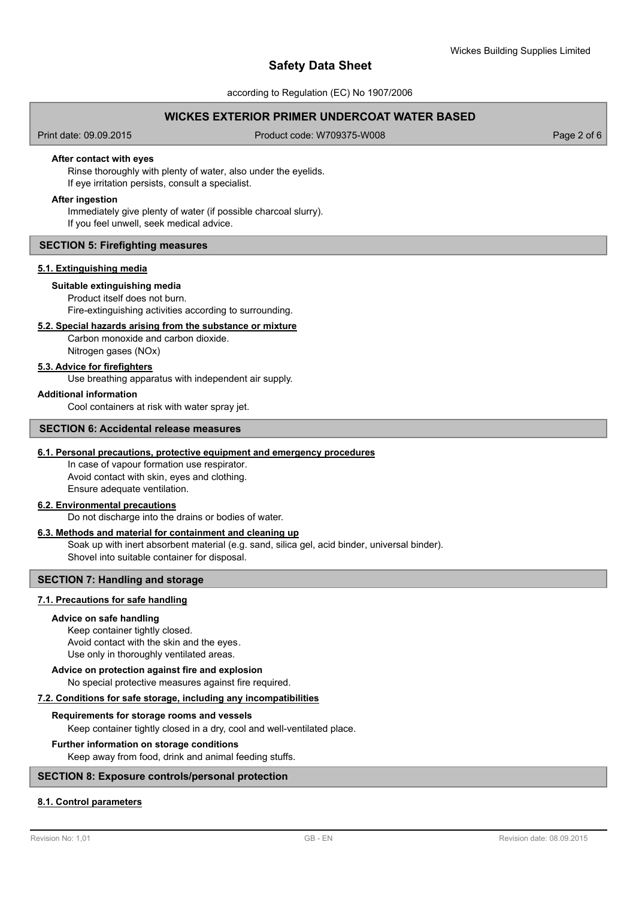according to Regulation (EC) No 1907/2006

# **WICKES EXTERIOR PRIMER UNDERCOAT WATER BASED**

Print date: 09.09.2015 Product code: W709375-W008 Page 2 of 6

## **After contact with eyes**

Rinse thoroughly with plenty of water, also under the eyelids. If eye irritation persists, consult a specialist.

## **After ingestion**

Immediately give plenty of water (if possible charcoal slurry). If you feel unwell, seek medical advice.

## **SECTION 5: Firefighting measures**

## **5.1. Extinguishing media**

## **Suitable extinguishing media**

Product itself does not burn. Fire-extinguishing activities according to surrounding.

## **5.2. Special hazards arising from the substance or mixture**

Carbon monoxide and carbon dioxide. Nitrogen gases (NOx)

## **5.3. Advice for firefighters**

Use breathing apparatus with independent air supply.

## **Additional information**

Cool containers at risk with water spray jet.

## **SECTION 6: Accidental release measures**

# **6.1. Personal precautions, protective equipment and emergency procedures**

In case of vapour formation use respirator. Avoid contact with skin, eyes and clothing. Ensure adequate ventilation.

## **6.2. Environmental precautions**

Do not discharge into the drains or bodies of water.

## **6.3. Methods and material for containment and cleaning up**

Soak up with inert absorbent material (e.g. sand, silica gel, acid binder, universal binder). Shovel into suitable container for disposal.

## **SECTION 7: Handling and storage**

## **7.1. Precautions for safe handling**

## **Advice on safe handling**

Keep container tightly closed. Avoid contact with the skin and the eyes. Use only in thoroughly ventilated areas.

# **Advice on protection against fire and explosion**

No special protective measures against fire required.

## **7.2. Conditions for safe storage, including any incompatibilities**

## **Requirements for storage rooms and vessels**

Keep container tightly closed in a dry, cool and well-ventilated place.

## **Further information on storage conditions**

Keep away from food, drink and animal feeding stuffs.

## **SECTION 8: Exposure controls/personal protection**

# **8.1. Control parameters**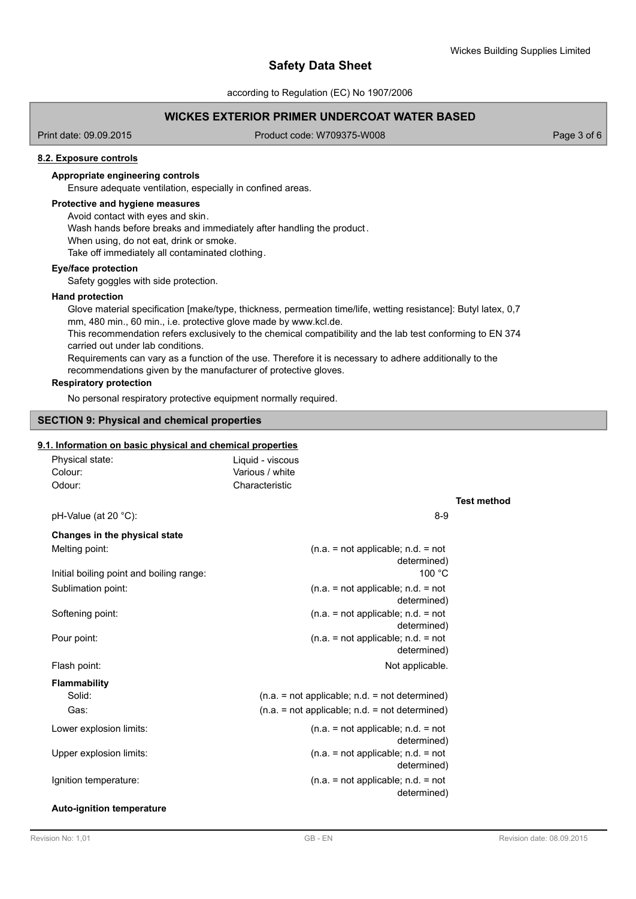according to Regulation (EC) No 1907/2006

# **WICKES EXTERIOR PRIMER UNDERCOAT WATER BASED**

Print date: 09.09.2015 Product code: W709375-W008 Page 3 of 6

## **8.2. Exposure controls**

# **Appropriate engineering controls**

Ensure adequate ventilation, especially in confined areas.

# **Protective and hygiene measures**

Avoid contact with eyes and skin.

Wash hands before breaks and immediately after handling the product.

When using, do not eat, drink or smoke.

Take off immediately all contaminated clothing.

## **Eye/face protection**

Safety goggles with side protection.

## **Hand protection**

Glove material specification [make/type, thickness, permeation time/life, wetting resistance]: Butyl latex, 0,7 mm, 480 min., 60 min., i.e. protective glove made by www.kcl.de. This recommendation refers exclusively to the chemical compatibility and the lab test conforming to EN 374 carried out under lab conditions. Requirements can vary as a function of the use. Therefore it is necessary to adhere additionally to the recommendations given by the manufacturer of protective gloves.

## **Respiratory protection**

No personal respiratory protective equipment normally required.

# **SECTION 9: Physical and chemical properties**

# **9.1. Information on basic physical and chemical properties**

| Physical state:      | Liquid - viscous |     |
|----------------------|------------------|-----|
| Colour:              | Various / white  |     |
| Odour:               | Characteristic   |     |
| pH-Value (at 20 °C): |                  | 8-9 |

# **Test method**

| Changes in the physical state            |                                                     |
|------------------------------------------|-----------------------------------------------------|
| Melting point:                           | $(n.a. = not applicable; n.d. = not$<br>determined) |
| Initial boiling point and boiling range: | 100 °C                                              |
| Sublimation point:                       | $(n.a. = not applicable; n.d. = not$<br>determined) |
| Softening point:                         | $(n.a. = not applicable; n.d. = not$<br>determined) |
| Pour point:                              | $(n.a. = not applicable; n.d. = not$<br>determined) |
| Flash point:                             | Not applicable.                                     |
| <b>Flammability</b>                      |                                                     |
| Solid:                                   | $(n.a. = not applicable; n.d. = not determined)$    |
| Gas:                                     | $(n.a. = not applicable; n.d. = not determined)$    |
| Lower explosion limits:                  | $(n.a. = not applicable; n.d. = not$<br>determined) |
| Upper explosion limits:                  | $(n.a. = not applicable; n.d. = not$<br>determined) |
| Ignition temperature:                    | $(n.a. = not applicable; n.d. = not$<br>determined) |
| <b>Auto-ignition temperature</b>         |                                                     |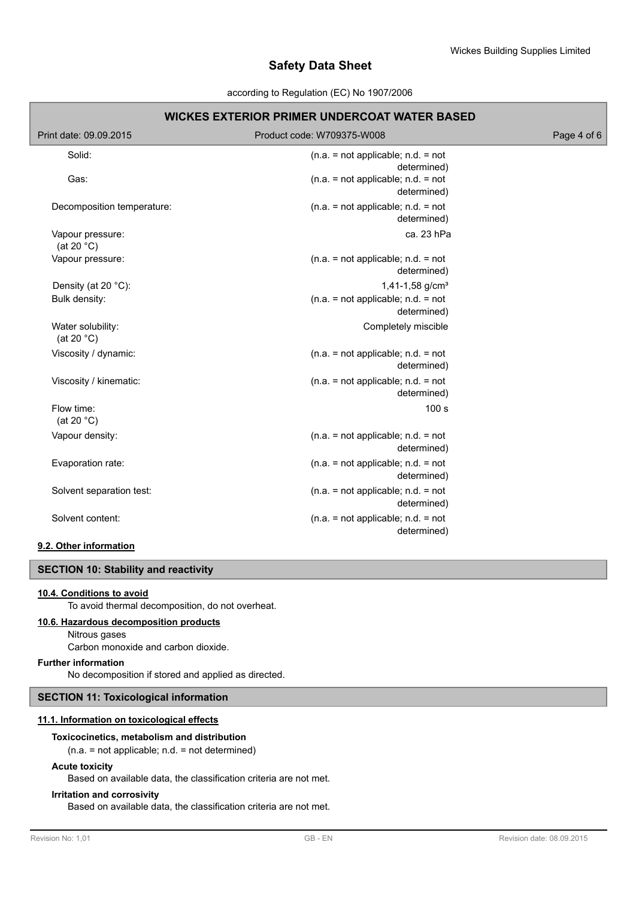## according to Regulation (EC) No 1907/2006

| <b>WICKES EXTERIOR PRIMER UNDERCOAT WATER BASED</b> |                                                     |             |  |  |  |
|-----------------------------------------------------|-----------------------------------------------------|-------------|--|--|--|
| Print date: 09.09.2015                              | Product code: W709375-W008                          | Page 4 of 6 |  |  |  |
| Solid:                                              | $(n.a. = not applicable; n.d. = not$<br>determined) |             |  |  |  |
| Gas:                                                | $(n.a. = not applicable; n.d. = not$<br>determined) |             |  |  |  |
| Decomposition temperature:                          | $(n.a. = not applicable; n.d. = not$<br>determined) |             |  |  |  |
| Vapour pressure:<br>(at 20 $°C$ )                   | ca. 23 hPa                                          |             |  |  |  |
| Vapour pressure:                                    | $(n.a. = not applicable; n.d. = not$<br>determined) |             |  |  |  |
| Density (at 20 °C):                                 | 1,41-1,58 $g/cm3$                                   |             |  |  |  |
| Bulk density:                                       | $(n.a. = not applicable; n.d. = not$<br>determined) |             |  |  |  |
| Water solubility:<br>(at 20 $°C$ )                  | Completely miscible                                 |             |  |  |  |
| Viscosity / dynamic:                                | $(n.a. = not applicable; n.d. = not$<br>determined) |             |  |  |  |
| Viscosity / kinematic:                              | $(n.a. = not applicable; n.d. = not$<br>determined) |             |  |  |  |
| Flow time:<br>(at 20 $°C$ )                         | 100 s                                               |             |  |  |  |
| Vapour density:                                     | $(n.a. = not applicable; n.d. = not$<br>determined) |             |  |  |  |
| Evaporation rate:                                   | $(n.a. = not applicable; n.d. = not$<br>determined) |             |  |  |  |
| Solvent separation test:                            | $(n.a. = not applicable; n.d. = not$<br>determined) |             |  |  |  |
| Solvent content:                                    | $(n.a. = not applicable; n.d. = not$<br>determined) |             |  |  |  |

# **9.2. Other information**

# **SECTION 10: Stability and reactivity**

## **10.4. Conditions to avoid**

To avoid thermal decomposition, do not overheat.

# **10.6. Hazardous decomposition products**

Nitrous gases

Carbon monoxide and carbon dioxide.

# **Further information**

No decomposition if stored and applied as directed.

# **SECTION 11: Toxicological information**

## **11.1. Information on toxicological effects**

## **Toxicocinetics, metabolism and distribution**

(n.a. = not applicable; n.d. = not determined)

## **Acute toxicity**

Based on available data, the classification criteria are not met.

# **Irritation and corrosivity**

Based on available data, the classification criteria are not met.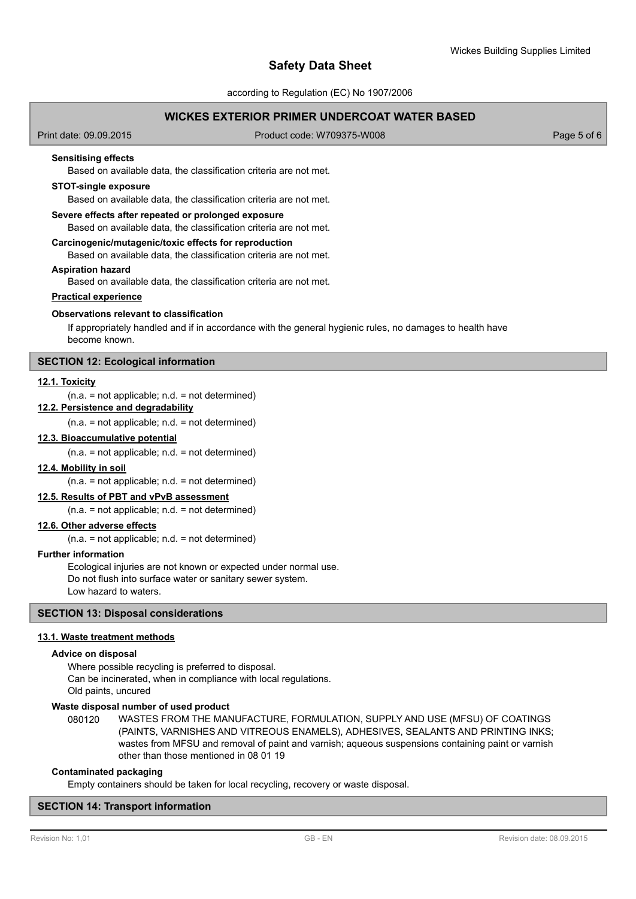according to Regulation (EC) No 1907/2006

# **WICKES EXTERIOR PRIMER UNDERCOAT WATER BASED**

Print date: 09.09.2015 Product code: W709375-W008 Page 5 of 6

## **Sensitising effects**

Based on available data, the classification criteria are not met.

## **STOT-single exposure**

Based on available data, the classification criteria are not met.

#### **Severe effects after repeated or prolonged exposure**

Based on available data, the classification criteria are not met.

#### **Carcinogenic/mutagenic/toxic effects for reproduction**

Based on available data, the classification criteria are not met.

## **Aspiration hazard**

Based on available data, the classification criteria are not met.

# **Practical experience**

## **Observations relevant to classification**

If appropriately handled and if in accordance with the general hygienic rules, no damages to health have become known.

# **SECTION 12: Ecological information**

## **12.1. Toxicity**

## $(n.a. = not applicable; n.d. = not determined)$

**12.2. Persistence and degradability**

 $(n.a. = not applicable; n.d. = not determined)$ 

## **12.3. Bioaccumulative potential**

 $(n.a. = not applicable; n.d. = not determined)$ 

#### **12.4. Mobility in soil**

 $(n.a. = not applicable; n.d. = not determined)$ 

## **12.5. Results of PBT and vPvB assessment**

(n.a. = not applicable; n.d. = not determined)

# **12.6. Other adverse effects**

 $(n.a. = not applicable; n.d. = not determined)$ 

#### **Further information**

Ecological injuries are not known or expected under normal use. Do not flush into surface water or sanitary sewer system. Low hazard to waters.

## **SECTION 13: Disposal considerations**

#### **13.1. Waste treatment methods**

## **Advice on disposal**

Where possible recycling is preferred to disposal. Can be incinerated, when in compliance with local regulations. Old paints, uncured

## **Waste disposal number of used product**

WASTES FROM THE MANUFACTURE, FORMULATION, SUPPLY AND USE (MFSU) OF COATINGS (PAINTS, VARNISHES AND VITREOUS ENAMELS), ADHESIVES, SEALANTS AND PRINTING INKS; wastes from MFSU and removal of paint and varnish; aqueous suspensions containing paint or varnish other than those mentioned in 08 01 19 080120

#### **Contaminated packaging**

Empty containers should be taken for local recycling, recovery or waste disposal.

## **SECTION 14: Transport information**